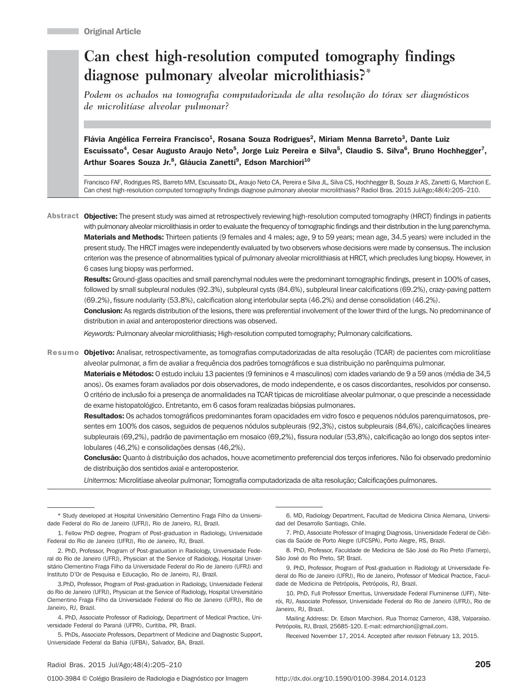# Can chest high-resolution computed tomography findings diagnose pulmonary alveolar microlithiasis?\*

Podem os achados na tomografia computadorizada de alta resolução do tórax ser diagnósticos de microlitíase alveolar pulmonar?

Flávia Angélica Ferreira Francisco<sup>1</sup>, Rosana Souza Rodrigues<sup>2</sup>, Miriam Menna Barreto<sup>3</sup>, Dante Luiz Escuissato<sup>4</sup>, Cesar Augusto Araujo Neto<sup>5</sup>, Jorge Luiz Pereira e Silva<sup>5</sup>, Claudio S. Silva<sup>6</sup>, Bruno Hochhegger<sup>7</sup>, Arthur Soares Souza Jr.<sup>8</sup>, Gláucia Zanetti<sup>9</sup>, Edson Marchiori<sup>10</sup>

Francisco FAF, Rodrigues RS, Barreto MM, Escuissato DL, Araujo Neto CA, Pereira e Silva JL, Silva CS, Hochhegger B, Souza Jr AS, Zanetti G, Marchiori E. Can chest high-resolution computed tomography findings diagnose pulmonary alveolar microlithiasis? Radiol Bras. 2015 Jul/Ago;48(4):205–210.

Abstract Objective: The present study was aimed at retrospectively reviewing high-resolution computed tomography (HRCT) findings in patients with pulmonary alveolar microlithiasis in order to evaluate the frequency of tomographic findings and their distribution in the lung parenchyma. Materials and Methods: Thirteen patients (9 females and 4 males; age, 9 to 59 years; mean age, 34.5 years) were included in the present study. The HRCT images were independently evaluated by two observers whose decisions were made by consensus. The inclusion criterion was the presence of abnormalities typical of pulmonary alveolar microlithiasis at HRCT, which precludes lung biopsy. However, in 6 cases lung biopsy was performed.

Results: Ground-glass opacities and small parenchymal nodules were the predominant tomographic findings, present in 100% of cases, followed by small subpleural nodules (92.3%), subpleural cysts (84.6%), subpleural linear calcifications (69.2%), crazy-paving pattern (69.2%), fissure nodularity (53.8%), calcification along interlobular septa (46.2%) and dense consolidation (46.2%).

Conclusion: As regards distribution of the lesions, there was preferential involvement of the lower third of the lungs. No predominance of distribution in axial and anteroposterior directions was observed.

Keywords: Pulmonary alveolar microlithiasis; High-resolution computed tomography; Pulmonary calcifications.

Resumo Objetivo: Analisar, retrospectivamente, as tomografias computadorizadas de alta resolução (TCAR) de pacientes com microlitíase alveolar pulmonar, a fim de avaliar a frequência dos padrões tomográficos e sua distribuição no parênquima pulmonar.

Materiais e Métodos: O estudo incluiu 13 pacientes (9 femininos e 4 masculinos) com idades variando de 9 a 59 anos (média de 34,5 anos). Os exames foram avaliados por dois observadores, de modo independente, e os casos discordantes, resolvidos por consenso. O critério de inclusão foi a presença de anormalidades na TCAR típicas de microlitíase alveolar pulmonar, o que prescinde a necessidade de exame histopatológico. Entretanto, em 6 casos foram realizadas biópsias pulmonares.

Resultados: Os achados tomográficos predominantes foram opacidades em vidro fosco e pequenos nódulos parenquimatosos, presentes em 100% dos casos, seguidos de pequenos nódulos subpleurais (92,3%), cistos subpleurais (84,6%), calcificações lineares subpleurais (69,2%), padrão de pavimentação em mosaico (69,2%), fissura nodular (53,8%), calcificação ao longo dos septos interlobulares (46,2%) e consolidações densas (46,2%).

Conclusão: Quanto à distribuição dos achados, houve acometimento preferencial dos terços inferiores. Não foi observado predomínio de distribuição dos sentidos axial e anteroposterior.

Unitermos: Microlitíase alveolar pulmonar; Tomografia computadorizada de alta resolução; Calcificações pulmonares.

6. MD, Radiology Department, Facultad de Medicina Clinica Alemana, Universidad del Desarrollo Santiago, Chile.

7. PhD, Associate Professor of Imaging Diagnosis, Universidade Federal de Ciências da Saúde de Porto Alegre (UFCSPA), Porto Alegre, RS, Brazil.

8. PhD, Professor, Faculdade de Medicina de São José do Rio Preto (Famerp), São José do Rio Preto, SP, Brazil.

9. PhD, Professor, Program of Post-graduation in Radiology at Universidade Federal do Rio de Janeiro (UFRJ), Rio de Janeiro, Professor of Medical Practice, Faculdade de Medicina de Petrópolis, Petrópolis, RJ, Brazil.

10. PhD, Full Professor Emeritus, Universidade Federal Fluminense (UFF), Niterói, RJ, Associate Professor, Universidade Federal do Rio de Janeiro (UFRJ), Rio de Janeiro, RJ, Brazil.

Mailing Address: Dr. Edson Marchiori. Rua Thomaz Cameron, 438, Valparaíso. Petrópolis, RJ, Brazil, 25685-120. E-mail: edmarchiori@gmail.com.

Received November 17, 2014. Accepted after revision February 13, 2015.

<sup>\*</sup> Study developed at Hospital Universitário Clementino Fraga Filho da Universidade Federal do Rio de Janeiro (UFRJ), Rio de Janeiro, RJ, Brazil.

<sup>1.</sup> Fellow PhD degree, Program of Post-graduation in Radiology, Universidade Federal do Rio de Janeiro (UFRJ), Rio de Janeiro, RJ, Brazil.

<sup>2.</sup> PhD, Professor, Program of Post-graduation in Radiology, Universidade Federal do Rio de Janeiro (UFRJ), Physician at the Service of Radiology, Hospital Universitário Clementino Fraga Filho da Universidade Federal do Rio de Janeiro (UFRJ) and Instituto D'Or de Pesquisa e Educação, Rio de Janeiro, RJ, Brazil.

<sup>3.</sup>PhD, Professor, Program of Post-graduation in Radiology, Universidade Federal do Rio de Janeiro (UFRJ), Physician at the Service of Radiology, Hospital Universitário Clementino Fraga Filho da Universidade Federal do Rio de Janeiro (UFRJ), Rio de Janeiro, RJ, Brazil.

<sup>4.</sup> PhD, Associate Professor of Radiology, Department of Medical Practice, Universidade Federal do Paraná (UFPR), Curitiba, PR, Brazil.

<sup>5.</sup> PhDs, Associate Professors, Department of Medicine and Diagnostic Support, Universidade Federal da Bahia (UFBA), Salvador, BA, Brazil.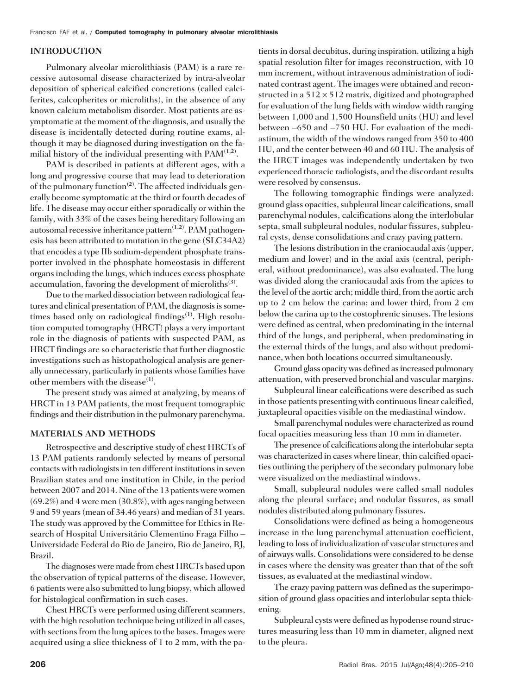# INTRODUCTION

Pulmonary alveolar microlithiasis (PAM) is a rare recessive autosomal disease characterized by intra-alveolar deposition of spherical calcified concretions (called calciferites, calcopherites or microliths), in the absence of any known calcium metabolism disorder. Most patients are asymptomatic at the moment of the diagnosis, and usually the disease is incidentally detected during routine exams, although it may be diagnosed during investigation on the familial history of the individual presenting with  $PAM^{(1,2)}$ .

PAM is described in patients at different ages, with a long and progressive course that may lead to deterioration of the pulmonary function<sup>(2)</sup>. The affected individuals generally become symptomatic at the third or fourth decades of life. The disease may occur either sporadically or within the family, with 33% of the cases being hereditary following an autosomal recessive inheritance pattern<sup>(1,2)</sup>. PAM pathogenesis has been attributed to mutation in the gene (SLC34A2) that encodes a type IIb sodium-dependent phosphate transporter involved in the phosphate homeostasis in different organs including the lungs, which induces excess phosphate accumulation, favoring the development of microliths $(3)$ .

Due to the marked dissociation between radiological features and clinical presentation of PAM, the diagnosis is sometimes based only on radiological findings $(1)$ . High resolution computed tomography (HRCT) plays a very important role in the diagnosis of patients with suspected PAM, as HRCT findings are so characteristic that further diagnostic investigations such as histopathological analysis are generally unnecessary, particularly in patients whose families have other members with the disease $^{(1)}$ .

The present study was aimed at analyzing, by means of HRCT in 13 PAM patients, the most frequent tomographic findings and their distribution in the pulmonary parenchyma.

# MATERIALS AND METHODS

Retrospective and descriptive study of chest HRCTs of 13 PAM patients randomly selected by means of personal contacts with radiologists in ten different institutions in seven Brazilian states and one institution in Chile, in the period between 2007 and 2014. Nine of the 13 patients were women (69.2%) and 4 were men (30.8%), with ages ranging between 9 and 59 years (mean of 34.46 years) and median of 31 years. The study was approved by the Committee for Ethics in Research of Hospital Universitário Clementino Fraga Filho – Universidade Federal do Rio de Janeiro, Rio de Janeiro, RJ, Brazil.

The diagnoses were made from chest HRCTs based upon the observation of typical patterns of the disease. However, 6 patients were also submitted to lung biopsy, which allowed for histological confirmation in such cases.

Chest HRCTs were performed using different scanners, with the high resolution technique being utilized in all cases, with sections from the lung apices to the bases. Images were acquired using a slice thickness of 1 to 2 mm, with the patients in dorsal decubitus, during inspiration, utilizing a high spatial resolution filter for images reconstruction, with 10 mm increment, without intravenous administration of iodinated contrast agent. The images were obtained and reconstructed in a  $512 \times 512$  matrix, digitized and photographed for evaluation of the lung fields with window width ranging between 1,000 and 1,500 Hounsfield units (HU) and level between –650 and –750 HU. For evaluation of the mediastinum, the width of the windows ranged from 350 to 400 HU, and the center between 40 and 60 HU. The analysis of the HRCT images was independently undertaken by two experienced thoracic radiologists, and the discordant results were resolved by consensus.

The following tomographic findings were analyzed: ground glass opacities, subpleural linear calcifications, small parenchymal nodules, calcifications along the interlobular septa, small subpleural nodules, nodular fissures, subpleural cysts, dense consolidations and crazy paving pattern.

The lesions distribution in the craniocaudal axis (upper, medium and lower) and in the axial axis (central, peripheral, without predominance), was also evaluated. The lung was divided along the craniocaudal axis from the apices to the level of the aortic arch; middle third, from the aortic arch up to 2 cm below the carina; and lower third, from 2 cm below the carina up to the costophrenic sinuses. The lesions were defined as central, when predominating in the internal third of the lungs, and peripheral, when predominating in the external thirds of the lungs, and also without predominance, when both locations occurred simultaneously.

Ground glass opacity was defined as increased pulmonary attenuation, with preserved bronchial and vascular margins.

Subpleural linear calcifications were described as such in those patients presenting with continuous linear calcified, juxtapleural opacities visible on the mediastinal window.

Small parenchymal nodules were characterized as round focal opacities measuring less than 10 mm in diameter.

The presence of calcifications along the interlobular septa was characterized in cases where linear, thin calcified opacities outlining the periphery of the secondary pulmonary lobe were visualized on the mediastinal windows.

Small, subpleural nodules were called small nodules along the pleural surface; and nodular fissures, as small nodules distributed along pulmonary fissures.

Consolidations were defined as being a homogeneous increase in the lung parenchymal attenuation coefficient, leading to loss of individualization of vascular structures and of airways walls. Consolidations were considered to be dense in cases where the density was greater than that of the soft tissues, as evaluated at the mediastinal window.

The crazy paving pattern was defined as the superimposition of ground glass opacities and interlobular septa thickening.

Subpleural cysts were defined as hypodense round structures measuring less than 10 mm in diameter, aligned next to the pleura.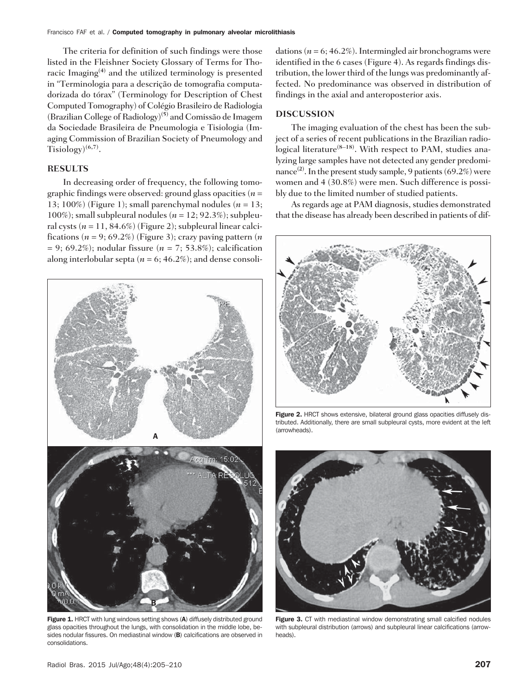The criteria for definition of such findings were those listed in the Fleishner Society Glossary of Terms for Thoracic Imaging $(4)$  and the utilized terminology is presented in "Terminologia para a descrição de tomografia computadorizada do tórax" (Terminology for Description of Chest Computed Tomography) of Colégio Brasileiro de Radiologia (Brazilian College of Radiology)<sup>(5)</sup> and Comissão de Imagem da Sociedade Brasileira de Pneumologia e Tisiologia (Imaging Commission of Brazilian Society of Pneumology and  $Tisiology)^{(6,7)}$ .

#### RESULTS

In decreasing order of frequency, the following tomographic findings were observed: ground glass opacities ( $n =$ 13; 100%) (Figure 1); small parenchymal nodules ( $n = 13$ ; 100%); small subpleural nodules ( $n = 12$ ; 92.3%); subpleural cysts ( $n = 11, 84.6\%$ ) (Figure 2); subpleural linear calcifications ( $n = 9$ ; 69.2%) (Figure 3); crazy paving pattern ( $n$  $= 9$ ; 69.2%); nodular fissure ( $n = 7$ ; 53.8%); calcification along interlobular septa ( $n = 6$ ; 46.2%); and dense consoli-



Figure 1. HRCT with lung windows setting shows (A) diffusely distributed ground glass opacities throughout the lungs, with consolidation in the middle lobe, besides nodular fissures. On mediastinal window (B) calcifications are observed in consolidations.

dations ( $n = 6$ ; 46.2%). Intermingled air bronchograms were identified in the 6 cases (Figure 4). As regards findings distribution, the lower third of the lungs was predominantly affected. No predominance was observed in distribution of findings in the axial and anteroposterior axis.

### DISCUSSION

The imaging evaluation of the chest has been the subject of a series of recent publications in the Brazilian radiological literature<sup>(8–18)</sup>. With respect to PAM, studies analyzing large samples have not detected any gender predominance<sup>(2)</sup>. In the present study sample, 9 patients (69.2%) were women and 4 (30.8%) were men. Such difference is possibly due to the limited number of studied patients.

As regards age at PAM diagnosis, studies demonstrated that the disease has already been described in patients of dif-



Figure 2. HRCT shows extensive, bilateral ground glass opacities diffusely distributed. Additionally, there are small subpleural cysts, more evident at the left (arrowheads).



Figure 3. CT with mediastinal window demonstrating small calcified nodules with subpleural distribution (arrows) and subpleural linear calcifications (arrowheads).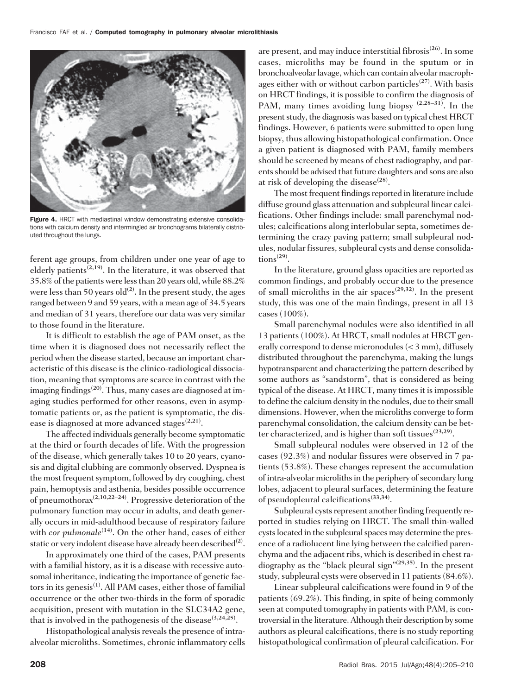

Figure 4. HRCT with mediastinal window demonstrating extensive consolidations with calcium density and intermingled air bronchograms bilaterally distributed throughout the lungs.

ferent age groups, from children under one year of age to elderly patients<sup> $(2,19)$ </sup>. In the literature, it was observed that 35.8% of the patients were less than 20 years old, while 88.2% were less than 50 years  $old^{(2)}$ . In the present study, the ages ranged between 9 and 59 years, with a mean age of 34.5 years and median of 31 years, therefore our data was very similar to those found in the literature.

It is difficult to establish the age of PAM onset, as the time when it is diagnosed does not necessarily reflect the period when the disease started, because an important characteristic of this disease is the clinico-radiological dissociation, meaning that symptoms are scarce in contrast with the imaging findings<sup> $(20)$ </sup>. Thus, many cases are diagnosed at imaging studies performed for other reasons, even in asymptomatic patients or, as the patient is symptomatic, the disease is diagnosed at more advanced stages $(2,21)$ .

The affected individuals generally become symptomatic at the third or fourth decades of life. With the progression of the disease, which generally takes 10 to 20 years, cyanosis and digital clubbing are commonly observed. Dyspnea is the most frequent symptom, followed by dry coughing, chest pain, hemoptysis and asthenia, besides possible occurrence of pneumothorax<sup> $(2,10,22-24)$ </sup>. Progressive deterioration of the pulmonary function may occur in adults, and death generally occurs in mid-adulthood because of respiratory failure with cor pulmonale<sup> $(14)$ </sup>. On the other hand, cases of either static or very indolent disease have already been described $(2)$ .

In approximately one third of the cases, PAM presents with a familial history, as it is a disease with recessive autosomal inheritance, indicating the importance of genetic factors in its genesis<sup>(1)</sup>. All PAM cases, either those of familial occurrence or the other two-thirds in the form of sporadic acquisition, present with mutation in the SLC34A2 gene, that is involved in the pathogenesis of the disease<sup>(3,24,25)</sup>.

Histopathological analysis reveals the presence of intraalveolar microliths. Sometimes, chronic inflammatory cells are present, and may induce interstitial fibrosis<sup> $(26)$ </sup>. In some cases, microliths may be found in the sputum or in bronchoalveolar lavage, which can contain alveolar macrophages either with or without carbon particles<sup>(27)</sup>. With basis on HRCT findings, it is possible to confirm the diagnosis of PAM, many times avoiding lung biopsy  $(2,28-31)$ . In the present study, the diagnosis was based on typical chest HRCT findings. However, 6 patients were submitted to open lung biopsy, thus allowing histopathological confirmation. Once a given patient is diagnosed with PAM, family members should be screened by means of chest radiography, and parents should be advised that future daughters and sons are also at risk of developing the disease<sup>(28)</sup>.

The most frequent findings reported in literature include diffuse ground glass attenuation and subpleural linear calcifications. Other findings include: small parenchymal nodules; calcifications along interlobular septa, sometimes determining the crazy paving pattern; small subpleural nodules, nodular fissures, subpleural cysts and dense consolidations<sup>(29)</sup>.

In the literature, ground glass opacities are reported as common findings, and probably occur due to the presence of small microliths in the air spaces<sup> $(29,32)$ </sup>. In the present study, this was one of the main findings, present in all 13 cases (100%).

Small parenchymal nodules were also identified in all 13 patients (100%). At HRCT, small nodules at HRCT generally correspond to dense micronodules (< 3 mm), diffusely distributed throughout the parenchyma, making the lungs hypotransparent and characterizing the pattern described by some authors as "sandstorm", that is considered as being typical of the disease. At HRCT, many times it is impossible to define the calcium density in the nodules, due to their small dimensions. However, when the microliths converge to form parenchymal consolidation, the calcium density can be better characterized, and is higher than soft tissues<sup>(23,29)</sup>.

Small subpleural nodules were observed in 12 of the cases (92.3%) and nodular fissures were observed in 7 patients (53.8%). These changes represent the accumulation of intra-alveolar microliths in the periphery of secondary lung lobes, adjacent to pleural surfaces, determining the feature of pseudopleural calcifications<sup>(33,34)</sup>.

Subpleural cysts represent another finding frequently reported in studies relying on HRCT. The small thin-walled cysts located in the subpleural spaces may determine the presence of a radiolucent line lying between the calcified parenchyma and the adjacent ribs, which is described in chest radiography as the "black pleural sign"(29,35). In the present study, subpleural cysts were observed in 11 patients (84.6%).

Linear subpleural calcifications were found in 9 of the patients (69.2%). This finding, in spite of being commonly seen at computed tomography in patients with PAM, is controversial in the literature. Although their description by some authors as pleural calcifications, there is no study reporting histopathological confirmation of pleural calcification. For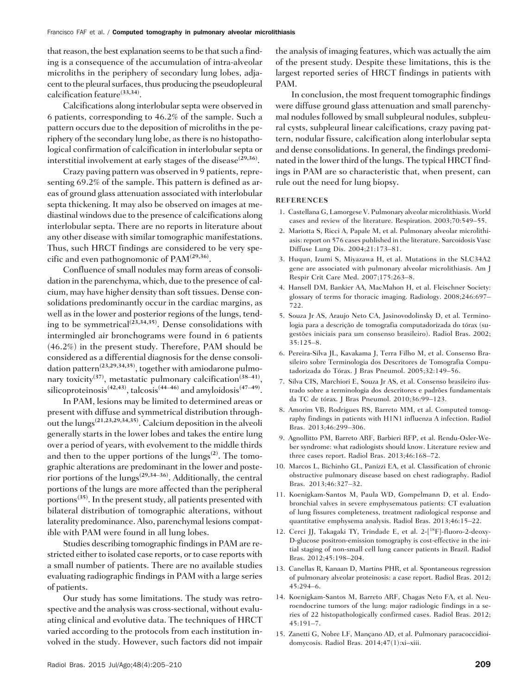that reason, the best explanation seems to be that such a finding is a consequence of the accumulation of intra-alveolar microliths in the periphery of secondary lung lobes, adjacent to the pleural surfaces, thus producing the pseudopleural calcification feature<sup>(33,34)</sup>.

Calcifications along interlobular septa were observed in 6 patients, corresponding to 46.2% of the sample. Such a pattern occurs due to the deposition of microliths in the periphery of the secondary lung lobe, as there is no histopathological confirmation of calcification in interlobular septa or interstitial involvement at early stages of the disease<sup> $(29,36)$ </sup>.

Crazy paving pattern was observed in 9 patients, representing 69.2% of the sample. This pattern is defined as areas of ground glass attenuation associated with interlobular septa thickening. It may also be observed on images at mediastinal windows due to the presence of calcifications along interlobular septa. There are no reports in literature about any other disease with similar tomographic manifestations. Thus, such HRCT findings are considered to be very specific and even pathognomonic of PAM(29,36).

Confluence of small nodules may form areas of consolidation in the parenchyma, which, due to the presence of calcium, may have higher density than soft tissues. Dense consolidations predominantly occur in the cardiac margins, as well as in the lower and posterior regions of the lungs, tending to be symmetrical<sup>( $23,34,35$ )</sup>. Dense consolidations with intermingled air bronchograms were found in 6 patients (46.2%) in the present study. Therefore, PAM should be considered as a differential diagnosis for the dense consolidation pattern<sup>(23,29,34,35)</sup>, together with amiodarone pulmonary toxicity<sup>(37)</sup>, metastatic pulmonary calcification<sup>(38-41)</sup>, silicoproteinosis<sup>(42,43)</sup>, talcosis<sup>(44–46)</sup> and amyloidosis<sup>(47–49)</sup>.

In PAM, lesions may be limited to determined areas or present with diffuse and symmetrical distribution throughout the lungs(21,23,29,34,35). Calcium deposition in the alveoli generally starts in the lower lobes and takes the entire lung over a period of years, with evolvement to the middle thirds and then to the upper portions of the  $\text{lungs}^{(2)}$ . The tomographic alterations are predominant in the lower and posterior portions of the lungs<sup> $(29,34-36)$ </sup>. Additionally, the central portions of the lungs are more affected than the peripheral portions<sup> $(35)$ </sup>. In the present study, all patients presented with bilateral distribution of tomographic alterations, without laterality predominance. Also, parenchymal lesions compatible with PAM were found in all lung lobes.

Studies describing tomographic findings in PAM are restricted either to isolated case reports, or to case reports with a small number of patients. There are no available studies evaluating radiographic findings in PAM with a large series of patients.

Our study has some limitations. The study was retrospective and the analysis was cross-sectional, without evaluating clinical and evolutive data. The techniques of HRCT varied according to the protocols from each institution involved in the study. However, such factors did not impair the analysis of imaging features, which was actually the aim of the present study. Despite these limitations, this is the largest reported series of HRCT findings in patients with PAM.

In conclusion, the most frequent tomographic findings were diffuse ground glass attenuation and small parenchymal nodules followed by small subpleural nodules, subpleural cysts, subpleural linear calcifications, crazy paving pattern, nodular fissure, calcification along interlobular septa and dense consolidations. In general, the findings predominated in the lower third of the lungs. The typical HRCT findings in PAM are so characteristic that, when present, can rule out the need for lung biopsy.

#### **REFERENCES**

- 1. Castellana G, Lamorgese V. Pulmonary alveolar microlithiasis. World cases and review of the literature. Respiration. 2003;70:549–55.
- 2. Mariotta S, Ricci A, Papale M, et al. Pulmonary alveolar microlithiasis: report on 576 cases published in the literature. Sarcoidosis Vasc Diffuse Lung Dis. 2004;21:173–81.
- 3. Huqun, Izumi S, Miyazawa H, et al. Mutations in the SLC34A2 gene are associated with pulmonary alveolar microlithiasis. Am J Respir Crit Care Med. 2007;175:263–8.
- 4. Hansell DM, Bankier AA, MacMahon H, et al. Fleischner Society: glossary of terms for thoracic imaging. Radiology. 2008;246:697– 722.
- 5. Souza Jr AS, Araujo Neto CA, Jasinovodolinsky D, et al. Terminologia para a descrição de tomografia computadorizada do tórax (sugestões iniciais para um consenso brasileiro). Radiol Bras. 2002; 35:125–8.
- 6. Pereira-Silva JL, Kavakama J, Terra Filho M, et al. Consenso Brasileiro sobre Terminologia dos Descritores de Tomografia Computadorizada do Tórax. J Bras Pneumol. 2005;32:149–56.
- 7. Silva CIS, Marchiori E, Souza Jr AS, et al. Consenso brasileiro ilustrado sobre a terminologia dos descritores e padrões fundamentais da TC de tórax. J Bras Pneumol. 2010;36:99–123.
- 8. Amorim VB, Rodrigues RS, Barreto MM, et al. Computed tomography findings in patients with H1N1 influenza A infection. Radiol Bras. 2013;46:299–306.
- 9. Agnollitto PM, Barreto ARF, Barbieri RFP, et al. Rendu-Osler-Weber syndrome: what radiologists should know. Literature review and three cases report. Radiol Bras. 2013;46:168–72.
- 10. Marcos L, Bichinho GL, Panizzi EA, et al. Classification of chronic obstructive pulmonary disease based on chest radiography. Radiol Bras. 2013;46:327–32.
- 11. Koenigkam-Santos M, Paula WD, Gompelmann D, et al. Endobronchial valves in severe emphysematous patients: CT evaluation of lung fissures completeness, treatment radiological response and quantitative emphysema analysis. Radiol Bras. 2013;46:15–22.
- 12. Cerci JJ, Takagaki TY, Trindade E, et al. 2-[<sup>18</sup>F]-fluoro-2-deoxy-D-glucose positron-emission tomography is cost-effective in the initial staging of non-small cell lung cancer patients in Brazil. Radiol Bras. 2012;45:198–204.
- 13. Canellas R, Kanaan D, Martins PHR, et al. Spontaneous regression of pulmonary alveolar proteinosis: a case report. Radiol Bras. 2012; 45:294–6.
- 14. Koenigkam-Santos M, Barreto ARF, Chagas Neto FA, et al. Neuroendocrine tumors of the lung: major radiologic findings in a series of 22 histopathologically confirmed cases. Radiol Bras. 2012;  $45:191-7$ .
- 15. Zanetti G, Nobre LF, Mançano AD, et al. Pulmonary paracoccidioidomycosis. Radiol Bras. 2014;47(1):xi–xiii.